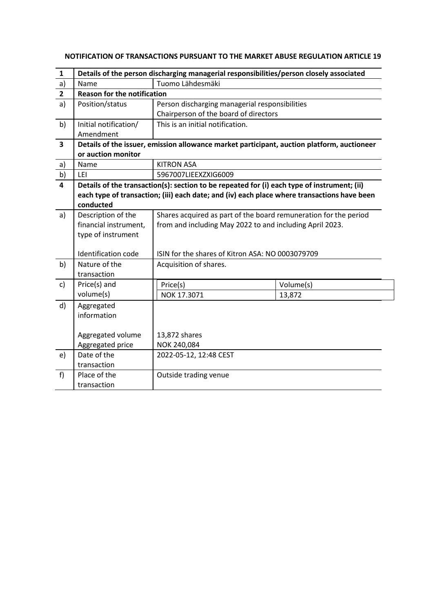| 1                       | Details of the person discharging managerial responsibilities/person closely associated |                                                                                             |           |  |
|-------------------------|-----------------------------------------------------------------------------------------|---------------------------------------------------------------------------------------------|-----------|--|
| a)                      | Name                                                                                    | Tuomo Lähdesmäki                                                                            |           |  |
| $\mathbf{2}$            | <b>Reason for the notification</b>                                                      |                                                                                             |           |  |
| a)                      | Position/status                                                                         | Person discharging managerial responsibilities                                              |           |  |
|                         |                                                                                         | Chairperson of the board of directors                                                       |           |  |
| b)                      | Initial notification/                                                                   | This is an initial notification.                                                            |           |  |
|                         | Amendment                                                                               |                                                                                             |           |  |
| 3                       |                                                                                         | Details of the issuer, emission allowance market participant, auction platform, auctioneer  |           |  |
|                         | or auction monitor                                                                      |                                                                                             |           |  |
| a)                      | Name                                                                                    | <b>KITRON ASA</b>                                                                           |           |  |
| b)                      | LEI                                                                                     | 5967007LIEEXZXIG6009                                                                        |           |  |
| $\overline{\mathbf{4}}$ |                                                                                         | Details of the transaction(s): section to be repeated for (i) each type of instrument; (ii) |           |  |
|                         |                                                                                         | each type of transaction; (iii) each date; and (iv) each place where transactions have been |           |  |
|                         | conducted                                                                               |                                                                                             |           |  |
| a)                      | Description of the                                                                      | Shares acquired as part of the board remuneration for the period                            |           |  |
|                         | financial instrument,                                                                   | from and including May 2022 to and including April 2023.                                    |           |  |
|                         | type of instrument                                                                      |                                                                                             |           |  |
|                         |                                                                                         |                                                                                             |           |  |
|                         | Identification code                                                                     | ISIN for the shares of Kitron ASA: NO 0003079709                                            |           |  |
| b)                      | Nature of the                                                                           | Acquisition of shares.                                                                      |           |  |
|                         | transaction                                                                             |                                                                                             |           |  |
| c)                      | Price(s) and                                                                            | Price(s)                                                                                    | Volume(s) |  |
|                         | volume(s)                                                                               | NOK 17.3071                                                                                 | 13,872    |  |
| d)                      | Aggregated                                                                              |                                                                                             |           |  |
|                         | information                                                                             |                                                                                             |           |  |
|                         |                                                                                         |                                                                                             |           |  |
|                         | Aggregated volume                                                                       | 13,872 shares                                                                               |           |  |
|                         | Aggregated price                                                                        | NOK 240,084                                                                                 |           |  |
| e)                      | Date of the                                                                             | 2022-05-12, 12:48 CEST                                                                      |           |  |
|                         | transaction                                                                             |                                                                                             |           |  |
| f)                      | Place of the                                                                            | Outside trading venue                                                                       |           |  |
|                         | transaction                                                                             |                                                                                             |           |  |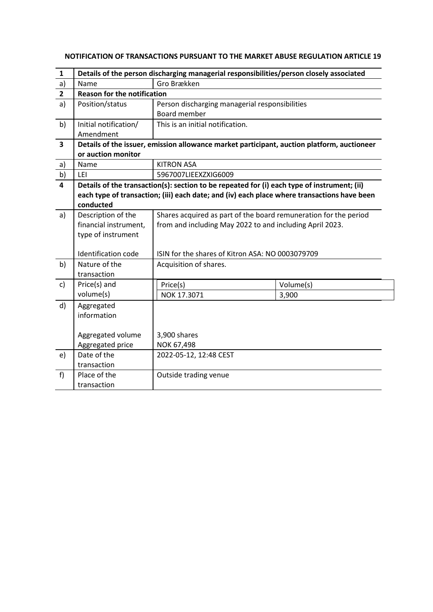| 1                       | Details of the person discharging managerial responsibilities/person closely associated |                                                                                             |           |  |
|-------------------------|-----------------------------------------------------------------------------------------|---------------------------------------------------------------------------------------------|-----------|--|
| a)                      | Name                                                                                    | Gro Brækken                                                                                 |           |  |
| $\overline{2}$          | <b>Reason for the notification</b>                                                      |                                                                                             |           |  |
| a)                      | Position/status                                                                         | Person discharging managerial responsibilities                                              |           |  |
|                         |                                                                                         | Board member                                                                                |           |  |
| b)                      | Initial notification/                                                                   | This is an initial notification.                                                            |           |  |
|                         | Amendment                                                                               |                                                                                             |           |  |
| 3                       |                                                                                         | Details of the issuer, emission allowance market participant, auction platform, auctioneer  |           |  |
|                         | or auction monitor                                                                      |                                                                                             |           |  |
| a)                      | Name                                                                                    | <b>KITRON ASA</b>                                                                           |           |  |
| b)                      | LEI                                                                                     | 5967007LIEEXZXIG6009                                                                        |           |  |
| $\overline{\mathbf{4}}$ |                                                                                         | Details of the transaction(s): section to be repeated for (i) each type of instrument; (ii) |           |  |
|                         |                                                                                         | each type of transaction; (iii) each date; and (iv) each place where transactions have been |           |  |
|                         | conducted                                                                               |                                                                                             |           |  |
| a)                      | Description of the                                                                      | Shares acquired as part of the board remuneration for the period                            |           |  |
|                         | financial instrument,                                                                   | from and including May 2022 to and including April 2023.                                    |           |  |
|                         | type of instrument                                                                      |                                                                                             |           |  |
|                         |                                                                                         |                                                                                             |           |  |
|                         | Identification code                                                                     | ISIN for the shares of Kitron ASA: NO 0003079709                                            |           |  |
| b)                      | Nature of the                                                                           | Acquisition of shares.                                                                      |           |  |
|                         | transaction                                                                             |                                                                                             |           |  |
| c)                      | Price(s) and                                                                            | Price(s)                                                                                    | Volume(s) |  |
|                         | volume(s)                                                                               | NOK 17.3071                                                                                 | 3,900     |  |
| d)                      | Aggregated                                                                              |                                                                                             |           |  |
|                         | information                                                                             |                                                                                             |           |  |
|                         |                                                                                         |                                                                                             |           |  |
|                         | Aggregated volume                                                                       | 3,900 shares                                                                                |           |  |
|                         | Aggregated price                                                                        | NOK 67,498                                                                                  |           |  |
| e)                      | Date of the                                                                             | 2022-05-12, 12:48 CEST                                                                      |           |  |
|                         | transaction                                                                             |                                                                                             |           |  |
| f                       | Place of the                                                                            | Outside trading venue                                                                       |           |  |
|                         | transaction                                                                             |                                                                                             |           |  |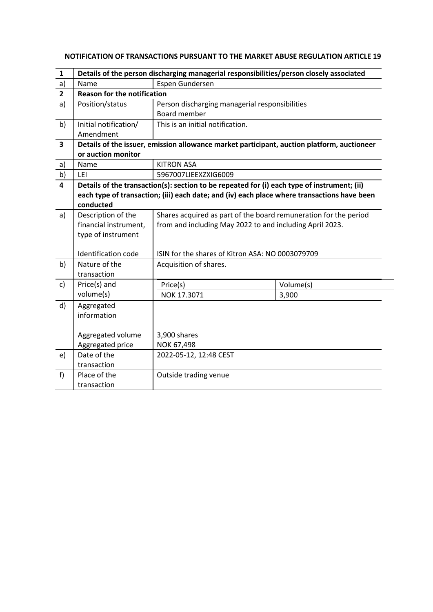| 1                       | Details of the person discharging managerial responsibilities/person closely associated |                                                                                             |           |  |
|-------------------------|-----------------------------------------------------------------------------------------|---------------------------------------------------------------------------------------------|-----------|--|
| a)                      | Name                                                                                    | Espen Gundersen                                                                             |           |  |
| $\overline{2}$          | <b>Reason for the notification</b>                                                      |                                                                                             |           |  |
| a)                      | Position/status                                                                         | Person discharging managerial responsibilities                                              |           |  |
|                         |                                                                                         | Board member                                                                                |           |  |
| b)                      | Initial notification/                                                                   | This is an initial notification.                                                            |           |  |
|                         | Amendment                                                                               |                                                                                             |           |  |
| 3                       |                                                                                         | Details of the issuer, emission allowance market participant, auction platform, auctioneer  |           |  |
|                         | or auction monitor                                                                      |                                                                                             |           |  |
| a)                      | Name                                                                                    | <b>KITRON ASA</b>                                                                           |           |  |
| b)                      | LEI                                                                                     | 5967007LIEEXZXIG6009                                                                        |           |  |
| $\overline{\mathbf{4}}$ |                                                                                         | Details of the transaction(s): section to be repeated for (i) each type of instrument; (ii) |           |  |
|                         |                                                                                         | each type of transaction; (iii) each date; and (iv) each place where transactions have been |           |  |
|                         | conducted                                                                               |                                                                                             |           |  |
| a)                      | Description of the                                                                      | Shares acquired as part of the board remuneration for the period                            |           |  |
|                         | financial instrument,                                                                   | from and including May 2022 to and including April 2023.                                    |           |  |
|                         | type of instrument                                                                      |                                                                                             |           |  |
|                         |                                                                                         |                                                                                             |           |  |
|                         | Identification code                                                                     | ISIN for the shares of Kitron ASA: NO 0003079709                                            |           |  |
| b)                      | Nature of the                                                                           | Acquisition of shares.                                                                      |           |  |
|                         | transaction                                                                             |                                                                                             |           |  |
| $\mathsf{c}$            | Price(s) and                                                                            | Price(s)                                                                                    | Volume(s) |  |
|                         | volume(s)                                                                               | NOK 17.3071                                                                                 | 3,900     |  |
| d)                      | Aggregated                                                                              |                                                                                             |           |  |
|                         | information                                                                             |                                                                                             |           |  |
|                         |                                                                                         |                                                                                             |           |  |
|                         | Aggregated volume                                                                       | 3,900 shares                                                                                |           |  |
|                         | Aggregated price                                                                        | NOK 67,498                                                                                  |           |  |
| e)                      | Date of the                                                                             | 2022-05-12, 12:48 CEST                                                                      |           |  |
|                         | transaction                                                                             |                                                                                             |           |  |
| f                       | Place of the                                                                            | Outside trading venue                                                                       |           |  |
|                         | transaction                                                                             |                                                                                             |           |  |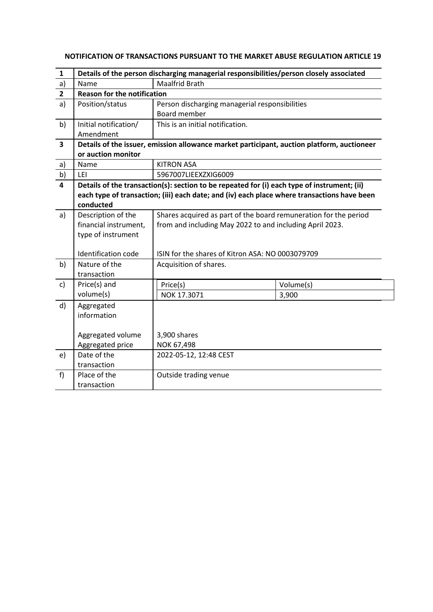| 1                       | Details of the person discharging managerial responsibilities/person closely associated |                                                                                             |           |  |
|-------------------------|-----------------------------------------------------------------------------------------|---------------------------------------------------------------------------------------------|-----------|--|
| a)                      | Name                                                                                    | <b>Maalfrid Brath</b>                                                                       |           |  |
| $\overline{2}$          | <b>Reason for the notification</b>                                                      |                                                                                             |           |  |
| a)                      | Position/status                                                                         | Person discharging managerial responsibilities                                              |           |  |
|                         |                                                                                         | Board member                                                                                |           |  |
| b)                      | Initial notification/                                                                   | This is an initial notification.                                                            |           |  |
|                         | Amendment                                                                               |                                                                                             |           |  |
| 3                       |                                                                                         | Details of the issuer, emission allowance market participant, auction platform, auctioneer  |           |  |
|                         | or auction monitor                                                                      |                                                                                             |           |  |
| a)                      | Name                                                                                    | <b>KITRON ASA</b>                                                                           |           |  |
| b)                      | LEI                                                                                     | 5967007LIEEXZXIG6009                                                                        |           |  |
| $\overline{\mathbf{4}}$ |                                                                                         | Details of the transaction(s): section to be repeated for (i) each type of instrument; (ii) |           |  |
|                         |                                                                                         | each type of transaction; (iii) each date; and (iv) each place where transactions have been |           |  |
|                         | conducted                                                                               |                                                                                             |           |  |
| a)                      | Description of the                                                                      | Shares acquired as part of the board remuneration for the period                            |           |  |
|                         | financial instrument,                                                                   | from and including May 2022 to and including April 2023.                                    |           |  |
|                         | type of instrument                                                                      |                                                                                             |           |  |
|                         |                                                                                         |                                                                                             |           |  |
|                         | Identification code                                                                     | ISIN for the shares of Kitron ASA: NO 0003079709                                            |           |  |
| b)                      | Nature of the                                                                           | Acquisition of shares.                                                                      |           |  |
|                         | transaction                                                                             |                                                                                             |           |  |
| c)                      | Price(s) and                                                                            | Price(s)                                                                                    | Volume(s) |  |
|                         | volume(s)                                                                               | NOK 17.3071                                                                                 | 3,900     |  |
| d)                      | Aggregated                                                                              |                                                                                             |           |  |
|                         | information                                                                             |                                                                                             |           |  |
|                         |                                                                                         |                                                                                             |           |  |
|                         | Aggregated volume                                                                       | 3,900 shares                                                                                |           |  |
|                         | Aggregated price                                                                        | NOK 67,498                                                                                  |           |  |
| e)                      | Date of the                                                                             | 2022-05-12, 12:48 CEST                                                                      |           |  |
|                         | transaction                                                                             |                                                                                             |           |  |
| f                       | Place of the                                                                            | Outside trading venue                                                                       |           |  |
|                         | transaction                                                                             |                                                                                             |           |  |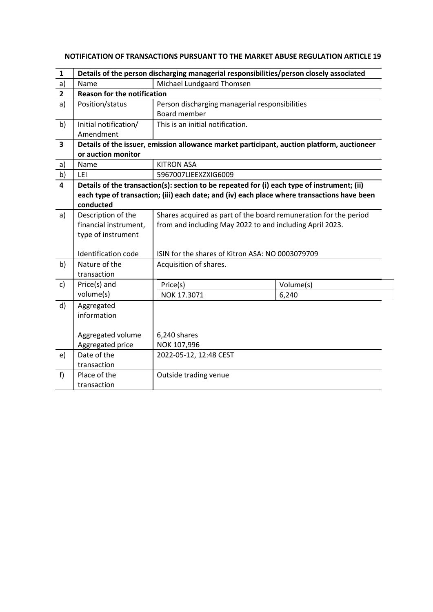| $\mathbf{1}$   | Details of the person discharging managerial responsibilities/person closely associated |                                                                                             |           |  |
|----------------|-----------------------------------------------------------------------------------------|---------------------------------------------------------------------------------------------|-----------|--|
| a)             | Name                                                                                    | Michael Lundgaard Thomsen                                                                   |           |  |
| $\overline{2}$ | <b>Reason for the notification</b>                                                      |                                                                                             |           |  |
| a)             | Position/status                                                                         | Person discharging managerial responsibilities                                              |           |  |
|                |                                                                                         | Board member                                                                                |           |  |
| b)             | Initial notification/                                                                   | This is an initial notification.                                                            |           |  |
|                | Amendment                                                                               |                                                                                             |           |  |
| 3              |                                                                                         | Details of the issuer, emission allowance market participant, auction platform, auctioneer  |           |  |
|                | or auction monitor                                                                      |                                                                                             |           |  |
| a)             | Name                                                                                    | <b>KITRON ASA</b>                                                                           |           |  |
| b)             | LEI                                                                                     | 5967007LIEEXZXIG6009                                                                        |           |  |
| 4              |                                                                                         | Details of the transaction(s): section to be repeated for (i) each type of instrument; (ii) |           |  |
|                |                                                                                         | each type of transaction; (iii) each date; and (iv) each place where transactions have been |           |  |
|                | conducted                                                                               |                                                                                             |           |  |
| a)             | Description of the                                                                      | Shares acquired as part of the board remuneration for the period                            |           |  |
|                | financial instrument,<br>from and including May 2022 to and including April 2023.       |                                                                                             |           |  |
|                | type of instrument                                                                      |                                                                                             |           |  |
|                |                                                                                         |                                                                                             |           |  |
|                | Identification code                                                                     | ISIN for the shares of Kitron ASA: NO 0003079709                                            |           |  |
| b)             | Nature of the                                                                           | Acquisition of shares.                                                                      |           |  |
|                | transaction                                                                             |                                                                                             |           |  |
| c)             | Price(s) and                                                                            | Price(s)                                                                                    | Volume(s) |  |
|                | volume(s)                                                                               | NOK 17.3071                                                                                 | 6,240     |  |
| d)             | Aggregated                                                                              |                                                                                             |           |  |
|                | information                                                                             |                                                                                             |           |  |
|                |                                                                                         |                                                                                             |           |  |
|                | Aggregated volume                                                                       | 6,240 shares                                                                                |           |  |
|                | Aggregated price                                                                        | NOK 107,996                                                                                 |           |  |
| e)             | Date of the                                                                             | 2022-05-12, 12:48 CEST                                                                      |           |  |
|                | transaction                                                                             |                                                                                             |           |  |
| f              | Place of the                                                                            | Outside trading venue                                                                       |           |  |
|                | transaction                                                                             |                                                                                             |           |  |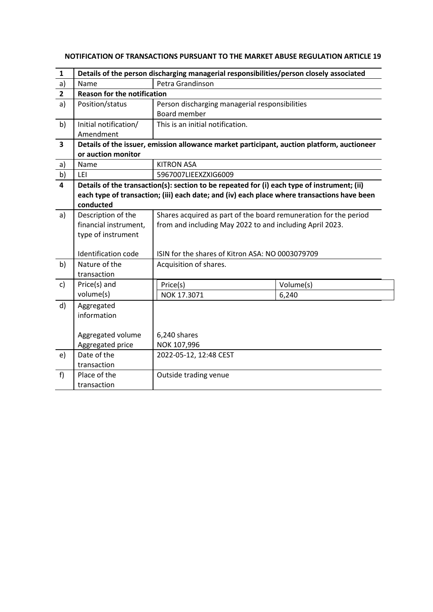| 1                       | Details of the person discharging managerial responsibilities/person closely associated |                                                                                             |           |  |
|-------------------------|-----------------------------------------------------------------------------------------|---------------------------------------------------------------------------------------------|-----------|--|
| a)                      | Name                                                                                    | Petra Grandinson                                                                            |           |  |
| $\overline{2}$          | <b>Reason for the notification</b>                                                      |                                                                                             |           |  |
| a)                      | Position/status                                                                         | Person discharging managerial responsibilities                                              |           |  |
|                         |                                                                                         | Board member                                                                                |           |  |
| b)                      | Initial notification/                                                                   | This is an initial notification.                                                            |           |  |
|                         | Amendment                                                                               |                                                                                             |           |  |
| 3                       |                                                                                         | Details of the issuer, emission allowance market participant, auction platform, auctioneer  |           |  |
|                         | or auction monitor                                                                      |                                                                                             |           |  |
| a)                      | Name                                                                                    | <b>KITRON ASA</b>                                                                           |           |  |
| b)                      | LEI                                                                                     | 5967007LIEEXZXIG6009                                                                        |           |  |
| $\overline{\mathbf{4}}$ |                                                                                         | Details of the transaction(s): section to be repeated for (i) each type of instrument; (ii) |           |  |
|                         |                                                                                         | each type of transaction; (iii) each date; and (iv) each place where transactions have been |           |  |
|                         | conducted                                                                               |                                                                                             |           |  |
| a)                      | Description of the                                                                      | Shares acquired as part of the board remuneration for the period                            |           |  |
|                         | financial instrument,                                                                   | from and including May 2022 to and including April 2023.                                    |           |  |
|                         | type of instrument                                                                      |                                                                                             |           |  |
|                         |                                                                                         |                                                                                             |           |  |
|                         | Identification code                                                                     | ISIN for the shares of Kitron ASA: NO 0003079709                                            |           |  |
| b)                      | Nature of the                                                                           | Acquisition of shares.                                                                      |           |  |
|                         | transaction                                                                             |                                                                                             |           |  |
| $\mathsf{c}$            | Price(s) and                                                                            | Price(s)                                                                                    | Volume(s) |  |
|                         | volume(s)                                                                               | NOK 17.3071                                                                                 | 6,240     |  |
| d)                      | Aggregated                                                                              |                                                                                             |           |  |
|                         | information                                                                             |                                                                                             |           |  |
|                         |                                                                                         |                                                                                             |           |  |
|                         | Aggregated volume                                                                       | 6,240 shares                                                                                |           |  |
|                         | Aggregated price                                                                        | NOK 107,996                                                                                 |           |  |
| e)                      | Date of the                                                                             | 2022-05-12, 12:48 CEST                                                                      |           |  |
|                         | transaction                                                                             |                                                                                             |           |  |
| f                       | Place of the                                                                            | Outside trading venue                                                                       |           |  |
|                         | transaction                                                                             |                                                                                             |           |  |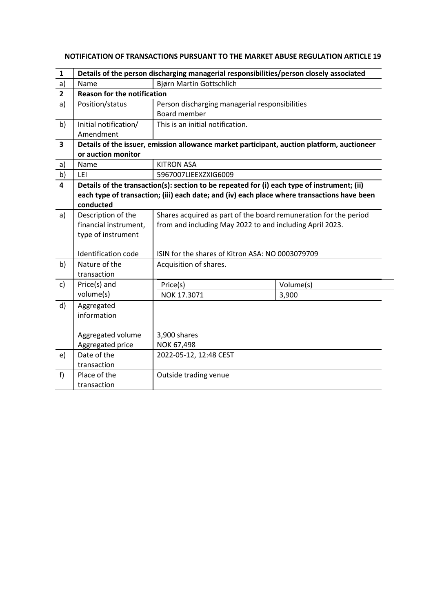| $\mathbf{1}$            | Details of the person discharging managerial responsibilities/person closely associated |                                                                                             |           |  |
|-------------------------|-----------------------------------------------------------------------------------------|---------------------------------------------------------------------------------------------|-----------|--|
| a)                      | Name                                                                                    | Bjørn Martin Gottschlich                                                                    |           |  |
| $\overline{2}$          | <b>Reason for the notification</b>                                                      |                                                                                             |           |  |
| a)                      | Position/status                                                                         | Person discharging managerial responsibilities                                              |           |  |
|                         |                                                                                         | <b>Board member</b>                                                                         |           |  |
| b)                      | Initial notification/                                                                   | This is an initial notification.                                                            |           |  |
|                         | Amendment                                                                               |                                                                                             |           |  |
| $\overline{\mathbf{3}}$ |                                                                                         | Details of the issuer, emission allowance market participant, auction platform, auctioneer  |           |  |
|                         | or auction monitor                                                                      |                                                                                             |           |  |
| a)                      | Name                                                                                    | <b>KITRON ASA</b>                                                                           |           |  |
| b)                      | LEI                                                                                     | 5967007LIEEXZXIG6009                                                                        |           |  |
| 4                       |                                                                                         | Details of the transaction(s): section to be repeated for (i) each type of instrument; (ii) |           |  |
|                         |                                                                                         | each type of transaction; (iii) each date; and (iv) each place where transactions have been |           |  |
|                         | conducted                                                                               |                                                                                             |           |  |
| a)                      | Description of the                                                                      | Shares acquired as part of the board remuneration for the period                            |           |  |
|                         | financial instrument,                                                                   | from and including May 2022 to and including April 2023.                                    |           |  |
|                         | type of instrument                                                                      |                                                                                             |           |  |
|                         |                                                                                         |                                                                                             |           |  |
|                         | Identification code                                                                     | ISIN for the shares of Kitron ASA: NO 0003079709                                            |           |  |
| b)                      | Nature of the                                                                           | Acquisition of shares.                                                                      |           |  |
|                         | transaction                                                                             |                                                                                             |           |  |
| c)                      | Price(s) and                                                                            | Price(s)                                                                                    | Volume(s) |  |
|                         | volume(s)                                                                               | NOK 17.3071                                                                                 | 3,900     |  |
| d)                      | Aggregated                                                                              |                                                                                             |           |  |
|                         | information                                                                             |                                                                                             |           |  |
|                         |                                                                                         |                                                                                             |           |  |
|                         | Aggregated volume                                                                       | 3,900 shares                                                                                |           |  |
|                         | Aggregated price                                                                        | NOK 67,498                                                                                  |           |  |
| e)                      | Date of the                                                                             | 2022-05-12, 12:48 CEST                                                                      |           |  |
|                         | transaction                                                                             |                                                                                             |           |  |
| f                       | Place of the                                                                            | Outside trading venue                                                                       |           |  |
|                         | transaction                                                                             |                                                                                             |           |  |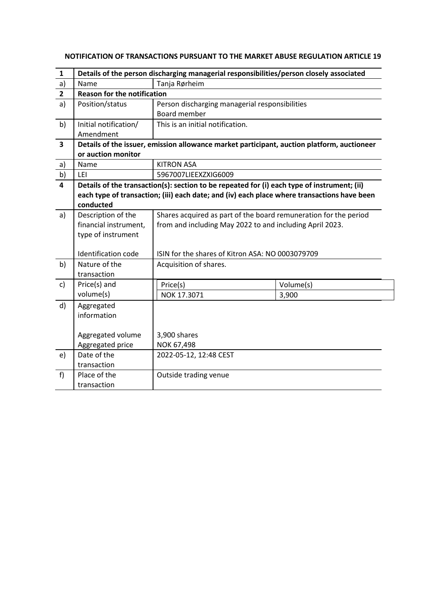| 1                       | Details of the person discharging managerial responsibilities/person closely associated |                                                                                             |           |  |
|-------------------------|-----------------------------------------------------------------------------------------|---------------------------------------------------------------------------------------------|-----------|--|
| a)                      | Name                                                                                    | Tanja Rørheim                                                                               |           |  |
| $\overline{2}$          | <b>Reason for the notification</b>                                                      |                                                                                             |           |  |
| a)                      | Position/status                                                                         | Person discharging managerial responsibilities                                              |           |  |
|                         |                                                                                         | Board member                                                                                |           |  |
| b)                      | Initial notification/                                                                   | This is an initial notification.                                                            |           |  |
|                         | Amendment                                                                               |                                                                                             |           |  |
| 3                       |                                                                                         | Details of the issuer, emission allowance market participant, auction platform, auctioneer  |           |  |
|                         | or auction monitor                                                                      |                                                                                             |           |  |
| a)                      | Name                                                                                    | <b>KITRON ASA</b>                                                                           |           |  |
| b)                      | LEI                                                                                     | 5967007LIEEXZXIG6009                                                                        |           |  |
| $\overline{\mathbf{4}}$ |                                                                                         | Details of the transaction(s): section to be repeated for (i) each type of instrument; (ii) |           |  |
|                         |                                                                                         | each type of transaction; (iii) each date; and (iv) each place where transactions have been |           |  |
|                         | conducted                                                                               |                                                                                             |           |  |
| a)                      | Description of the                                                                      | Shares acquired as part of the board remuneration for the period                            |           |  |
|                         | financial instrument,                                                                   | from and including May 2022 to and including April 2023.                                    |           |  |
|                         | type of instrument                                                                      |                                                                                             |           |  |
|                         |                                                                                         |                                                                                             |           |  |
|                         | Identification code                                                                     | ISIN for the shares of Kitron ASA: NO 0003079709                                            |           |  |
| b)                      | Nature of the                                                                           | Acquisition of shares.                                                                      |           |  |
|                         | transaction                                                                             |                                                                                             |           |  |
| c)                      | Price(s) and                                                                            | Price(s)                                                                                    | Volume(s) |  |
|                         | volume(s)                                                                               | NOK 17.3071                                                                                 | 3,900     |  |
| d)                      | Aggregated                                                                              |                                                                                             |           |  |
|                         | information                                                                             |                                                                                             |           |  |
|                         |                                                                                         |                                                                                             |           |  |
|                         | Aggregated volume                                                                       | 3,900 shares                                                                                |           |  |
|                         | Aggregated price                                                                        | NOK 67,498                                                                                  |           |  |
| e)                      | Date of the                                                                             | 2022-05-12, 12:48 CEST                                                                      |           |  |
|                         | transaction                                                                             |                                                                                             |           |  |
| f                       | Place of the                                                                            | Outside trading venue                                                                       |           |  |
|                         | transaction                                                                             |                                                                                             |           |  |